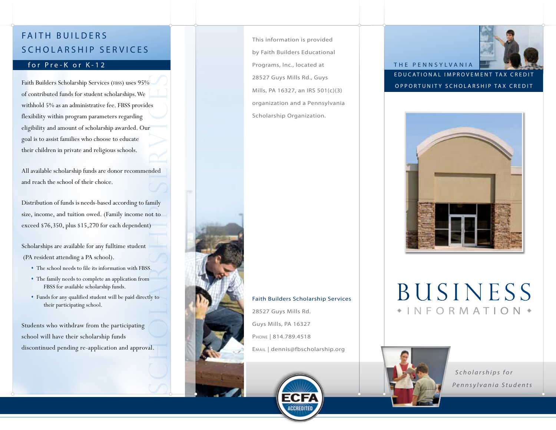## FAITH BUILDERS SCHOLARSHIP SERVICES

#### for Pre-K or K-12

es<br>
Services<br>
Services<br>
Services<br>
Services<br>
Services<br>
Services<br>
Services<br>
Services<br>
Services<br>
Services<br>
Services<br>
Services<br>
Services<br>
Services<br>
Services<br>
Services<br>
Services<br>
Services<br>
Services<br>
Services<br>
Services<br>
Services Faith Builders Scholarship Services (FBSS) uses 95% of contributed funds for student scholarships. We withhold 5% as an administrative fee. FBSS provides flexibility within program parameters regarding eligibility and amount of scholarship awarded. Our goal is to assist families who choose to educate their children in private and religious schools.

All available scholarship funds are donor recommended and reach the school of their choice.

Distribution of funds is needs-based according to family size, income, and tuition owed. (Family income not to exceed \$76,350, plus \$15,270 for each dependent)

Scholarships are available for any fulltime student (PA resident attending a PA school).

- The school needs to file its information with FBSS.
- The family needs to complete an application from FBSS for available scholarship funds.
- Funds for any qualified student will be paid directly to their participating school.

Students who withdraw from the participating school will have their scholarship funds discontinued pending re-application and approval. This information is provided by Faith Builders Educational Programs, Inc., located at 28527 Guys Mills Rd., Guys Mills, PA 16327, an IRS 501(c)(3) organization and a Pennsylvania Scholarship Organization.



#### EDUCATIONAL IMPROVEMENT TAX CREDI OPPORTUNITY SCHOLARSHIP TAX CREDIT

THE PENNSYLVANIA



# BUSINESS NFORMATION \*



 *Scholarships for Pennsylvania Students*



#### Faith Builders Scholarship Services

28527 Guys Mills Rd. Guys Mills, PA 16327 Phone | 814.789.4518 Email | dennis@fbscholarship.org